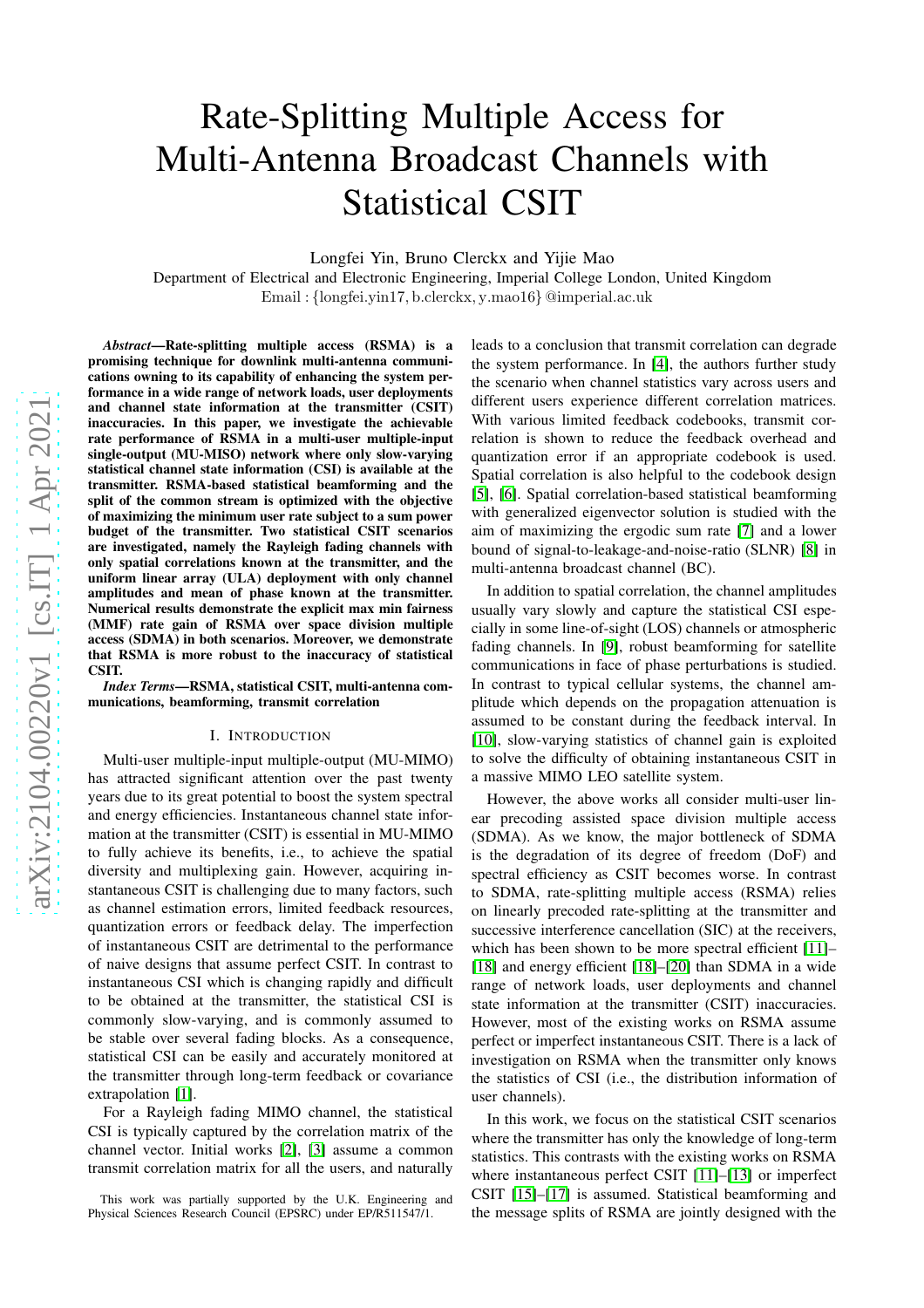# Rate-Splitting Multiple Access for Multi-Antenna Broadcast Channels with Statistical CSIT

Longfei Yin, Bruno Clerckx and Yijie Mao

Department of Electrical and Electronic Engineering, Imperial College London, United Kingdom Email : {longfei.yin17, b.clerckx, y.mao16} @imperial.ac.uk

arXiv:2104.00220v1 [cs.IT] 1 Apr 2021 [arXiv:2104.00220v1 \[cs.IT\] 1 Apr 2021](http://arxiv.org/abs/2104.00220v1)

*Abstract*—Rate-splitting multiple access (RSMA) is a promising technique for downlink multi-antenna communications owning to its capability of enhancing the system performance in a wide range of network loads, user deployments and channel state information at the transmitter (CSIT) inaccuracies. In this paper, we investigate the achievable rate performance of RSMA in a multi-user multiple-input single-output (MU-MISO) network where only slow-varying statistical channel state information (CSI) is available at the transmitter. RSMA-based statistical beamforming and the split of the common stream is optimized with the objective of maximizing the minimum user rate subject to a sum power budget of the transmitter. Two statistical CSIT scenarios are investigated, namely the Rayleigh fading channels with only spatial correlations known at the transmitter, and the uniform linear array (ULA) deployment with only channel amplitudes and mean of phase known at the transmitter. Numerical results demonstrate the explicit max min fairnes s (MMF) rate gain of RSMA over space division multiple access (SDMA) in both scenarios. Moreover, we demonstrate that RSMA is more robust to the inaccuracy of statistical CSIT.

*Index Terms*—RSMA, statistical CSIT, multi-antenna communications, beamforming, transmit correlation

#### I. INTRODUCTION

Multi-user multiple-input multiple-output (MU-MIMO) has attracted significant attention over the past twenty years due to its great potential to boost the system spectral and energy efficiencies. Instantaneous channel state infor mation at the transmitter (CSIT) is essential in MU-MIMO to fully achieve its benefits, i.e., to achieve the spatial diversity and multiplexing gain. However, acquiring instantaneous CSIT is challenging due to many factors, such as channel estimation errors, limited feedback resources, quantization errors or feedback delay. The imperfection of instantaneous CSIT are detrimental to the performance of naive designs that assume perfect CSIT. In contrast to instantaneous CSI which is changing rapidly and difficult to be obtained at the transmitter, the statistical CSI is commonly slow-varying, and is commonly assumed to be stable over several fading blocks. As a consequence, statistical CSI can be easily and accurately monitored at the transmitter through long-term feedback or covariance extrapolation [\[1\]](#page-5-0).

For a Rayleigh fading MIMO channel, the statistical CSI is typically captured by the correlation matrix of the channel vector. Initial works [\[2\]](#page-5-1), [\[3\]](#page-5-2) assume a common transmit correlation matrix for all the users, and naturall y

leads to a conclusion that transmit correlation can degrade the system performance. In [\[4\]](#page-5-3), the authors further study the scenario when channel statistics vary across users and different users experience different correlation matrices. With various limited feedback codebooks, transmit correlation is shown to reduce the feedback overhead and quantization error if an appropriate codebook is used. Spatial correlation is also helpful to the codebook design [\[5\]](#page-5-4), [\[6\]](#page-5-5). Spatial correlation-based statistical beamforming with generalized eigenvector solution is studied with the aim of maximizing the ergodic sum rate [\[7\]](#page-5-6) and a lower bound of signal-to-leakage-and-noise-ratio (SLNR) [\[8\]](#page-5-7) in multi-antenna broadcast channel (BC).

In addition to spatial correlation, the channel amplitudes usually vary slowly and capture the statistical CSI especially in some line-of-sight (LOS) channels or atmospheric fading channels. In [\[9\]](#page-5-8), robust beamforming for satellite communications in face of phase perturbations is studied. In contrast to typical cellular systems, the channel amplitude which depends on the propagation attenuation is assumed to be constant during the feedback interval. In [\[10\]](#page-5-9), slow-varying statistics of channel gain is exploited to solve the difficulty of obtaining instantaneous CSIT in a massive MIMO LEO satellite system.

However, the above works all consider multi-user linear precoding assisted space division multiple access (SDMA). As we know, the major bottleneck of SDMA is the degradation of its degree of freedom (DoF) and spectral efficiency as CSIT becomes worse. In contrast to SDMA, rate-splitting multiple access (RSMA) relies on linearly precoded rate-splitting at the transmitter and successive interference cancellation (SIC) at the receivers, which has been shown to be more spectral efficient [\[11\]](#page-5-10)– [\[18\]](#page-5-11) and energy efficient [\[18\]](#page-5-11)–[\[20\]](#page-5-12) than SDMA in a wide range of network loads, user deployments and channel state information at the transmitter (CSIT) inaccuracies. However, most of the existing works on RSMA assume perfect or imperfect instantaneous CSIT. There is a lack of investigation on RSMA when the transmitter only knows the statistics of CSI (i.e., the distribution information o f user channels).

In this work, we focus on the statistical CSIT scenarios where the transmitter has only the knowledge of long-term statistics. This contrasts with the existing works on RSMA where instantaneous perfect CSIT [\[11\]](#page-5-10)–[\[13\]](#page-5-13) or imperfect CSIT [\[15\]](#page-5-14)–[\[17\]](#page-5-15) is assumed. Statistical beamforming and the message splits of RSMA are jointly designed with the

This work was partially supported by the U.K. Engineering an d Physical Sciences Research Council (EPSRC) under EP/R511547/1.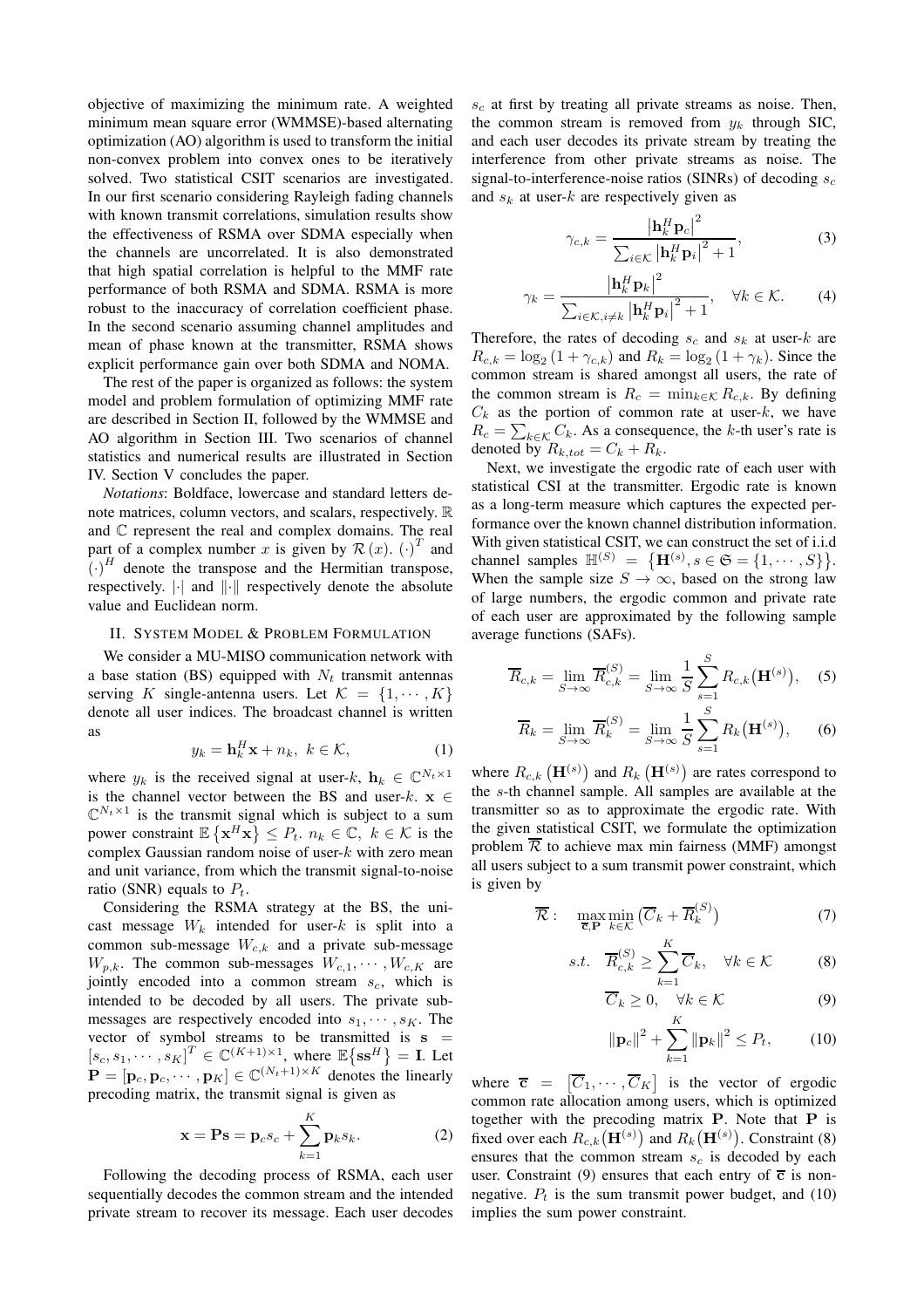objective of maximizing the minimum rate. A weighted minimum mean square error (WMMSE)-based alternating optimization (AO) algorithm is used to transform the initial non-convex problem into convex ones to be iteratively solved. Two statistical CSIT scenarios are investigated. In our first scenario considering Rayleigh fading channels with known transmit correlations, simulation results show the effectiveness of RSMA over SDMA especially when the channels are uncorrelated. It is also demonstrated that high spatial correlation is helpful to the MMF rate performance of both RSMA and SDMA. RSMA is more robust to the inaccuracy of correlation coefficient phase. In the second scenario assuming channel amplitudes and mean of phase known at the transmitter, RSMA shows explicit performance gain over both SDMA and NOMA.

The rest of the paper is organized as follows: the system model and problem formulation of optimizing MMF rate are described in Section II, followed by the WMMSE and AO algorithm in Section III. Two scenarios of channel statistics and numerical results are illustrated in Section IV. Section V concludes the paper.

*Notations*: Boldface, lowercase and standard letters denote matrices, column vectors, and scalars, respectively. R and C represent the real and complex domains. The real part of a complex number x is given by  $\mathcal{R}(x)$ .  $(\cdot)^T$  and  $(\cdot)^H$  denote the transpose and the Hermitian transpose, respectively.  $|\cdot|$  and  $\|\cdot\|$  respectively denote the absolute value and Euclidean norm.

#### II. SYSTEM MODEL & PROBLEM FORMULATION

We consider a MU-MISO communication network with a base station (BS) equipped with  $N_t$  transmit antennas serving K single-antenna users. Let  $\mathcal{K} = \{1, \dots, K\}$ denote all user indices. The broadcast channel is written as

$$
y_k = \mathbf{h}_k^H \mathbf{x} + n_k, \ k \in \mathcal{K}, \tag{1}
$$

where  $y_k$  is the received signal at user-k,  $\mathbf{h}_k \in \mathbb{C}^{N_t \times 1}$ is the channel vector between the BS and user-k.  $x \in$  $\mathbb{C}^{N_t \times 1}$  is the transmit signal which is subject to a sum power constraint  $\mathbb{E} \left\{ \mathbf{x}^H \mathbf{x} \right\} \leq P_t$ ,  $n_k \in \mathbb{C}$ ,  $k \in \mathcal{K}$  is the complex Gaussian random noise of user- $k$  with zero mean and unit variance, from which the transmit signal-to-noise ratio (SNR) equals to  $P_t$ .

Considering the RSMA strategy at the BS, the unicast message  $W_k$  intended for user-k is split into a common sub-message  $W_{ck}$  and a private sub-message  $W_{p,k}$ . The common sub-messages  $W_{c,1}, \cdots, W_{c,K}$  are jointly encoded into a common stream  $s_c$ , which is intended to be decoded by all users. The private submessages are respectively encoded into  $s_1, \dots, s_K$ . The vector of symbol streams to be transmitted is  $s =$  $[s_c, s_1, \cdots, s_K]^T \in \mathbb{C}^{(K+1)\times 1}$ , where  $\mathbb{E}\{\mathbf{s}\mathbf{s}^H\} = \mathbf{I}$ . Let  $\mathbf{P} = [\mathbf{p}_c, \mathbf{p}_c, \cdots, \mathbf{p}_K] \in \mathbb{C}^{(N_t+1) \times K}$  denotes the linearly precoding matrix, the transmit signal is given as

$$
\mathbf{x} = \mathbf{P}\mathbf{s} = \mathbf{p}_c s_c + \sum_{k=1}^K \mathbf{p}_k s_k.
$$
 (2)

Following the decoding process of RSMA, each user sequentially decodes the common stream and the intended private stream to recover its message. Each user decodes

 $s_c$  at first by treating all private streams as noise. Then, the common stream is removed from  $y_k$  through SIC, and each user decodes its private stream by treating the interference from other private streams as noise. The signal-to-interference-noise ratios (SINRs) of decoding  $s_c$ and  $s_k$  at user-k are respectively given as

$$
\gamma_{c,k} = \frac{\left|\mathbf{h}_k^H \mathbf{p}_c\right|^2}{\sum_{i \in \mathcal{K}} \left|\mathbf{h}_k^H \mathbf{p}_i\right|^2 + 1},\tag{3}
$$

$$
\gamma_k = \frac{\left|\mathbf{h}_k^H \mathbf{p}_k\right|^2}{\sum_{i \in \mathcal{K}, i \neq k} \left|\mathbf{h}_k^H \mathbf{p}_i\right|^2 + 1}, \quad \forall k \in \mathcal{K}.
$$
 (4)

Therefore, the rates of decoding  $s_c$  and  $s_k$  at user-k are  $R_{c,k} = \log_2(1 + \gamma_{c,k})$  and  $R_k = \log_2(1 + \gamma_k)$ . Since the common stream is shared amongst all users, the rate of the common stream is  $R_c = \min_{k \in \mathcal{K}} R_{c,k}$ . By defining  $C_k$  as the portion of common rate at user-k, we have  $R_c = \sum_{k \in \mathcal{K}} C_k$ . As a consequence, the k-th user's rate is denoted by  $R_{k,tot} = C_k + R_k$ .

Next, we investigate the ergodic rate of each user with statistical CSI at the transmitter. Ergodic rate is known as a long-term measure which captures the expected performance over the known channel distribution information. With given statistical CSIT, we can construct the set of i.i.d channel samples  $\mathbb{H}^{(S)} = \{ \mathbf{H}^{(s)}, s \in \mathfrak{S} = \{ 1, \cdots, S \} \}.$ When the sample size  $S \rightarrow \infty$ , based on the strong law of large numbers, the ergodic common and private rate of each user are approximated by the following sample average functions (SAFs).

$$
\overline{R}_{c,k} = \lim_{S \to \infty} \overline{R}_{c,k}^{(S)} = \lim_{S \to \infty} \frac{1}{S} \sum_{s=1}^{S} R_{c,k}(\mathbf{H}^{(s)}), \quad (5)
$$

$$
\overline{R}_k = \lim_{S \to \infty} \overline{R}_k^{(S)} = \lim_{S \to \infty} \frac{1}{S} \sum_{s=1}^S R_k(\mathbf{H}^{(s)}), \qquad (6)
$$

where  $R_{c,k}(\mathbf{H}^{(s)})$  and  $R_k(\mathbf{H}^{(s)})$  are rates correspond to the s-th channel sample. All samples are available at the transmitter so as to approximate the ergodic rate. With the given statistical CSIT, we formulate the optimization problem  $\overline{\mathcal{R}}$  to achieve max min fairness (MMF) amongst all users subject to a sum transmit power constraint, which is given by

$$
\overline{\mathcal{R}}: \quad \max_{\overline{\mathbf{c}}, \mathbf{P}} \min_{k \in \mathcal{K}} \left( \overline{C}_k + \overline{R}_k^{(S)} \right) \tag{7}
$$

$$
s.t. \quad \overline{R}_{c,k}^{(S)} \ge \sum_{k=1}^{K} \overline{C}_k, \quad \forall k \in \mathcal{K} \tag{8}
$$

$$
\overline{C}_k \ge 0, \quad \forall k \in \mathcal{K} \tag{9}
$$

$$
\|\mathbf{p}_c\|^2 + \sum_{k=1}^K \|\mathbf{p}_k\|^2 \le P_t, \qquad (10)
$$

where  $\overline{\mathbf{c}} = [\overline{C}_1, \cdots, \overline{C}_K]$  is the vector of ergodic common rate allocation among users, which is optimized together with the precoding matrix P. Note that P is fixed over each  $R_{c,k}(\mathbf{H}^{(s)})$  and  $R_k(\mathbf{H}^{(s)})$ . Constraint (8) ensures that the common stream  $s_c$  is decoded by each user. Constraint (9) ensures that each entry of  $\bar{c}$  is nonnegative.  $P_t$  is the sum transmit power budget, and (10) implies the sum power constraint.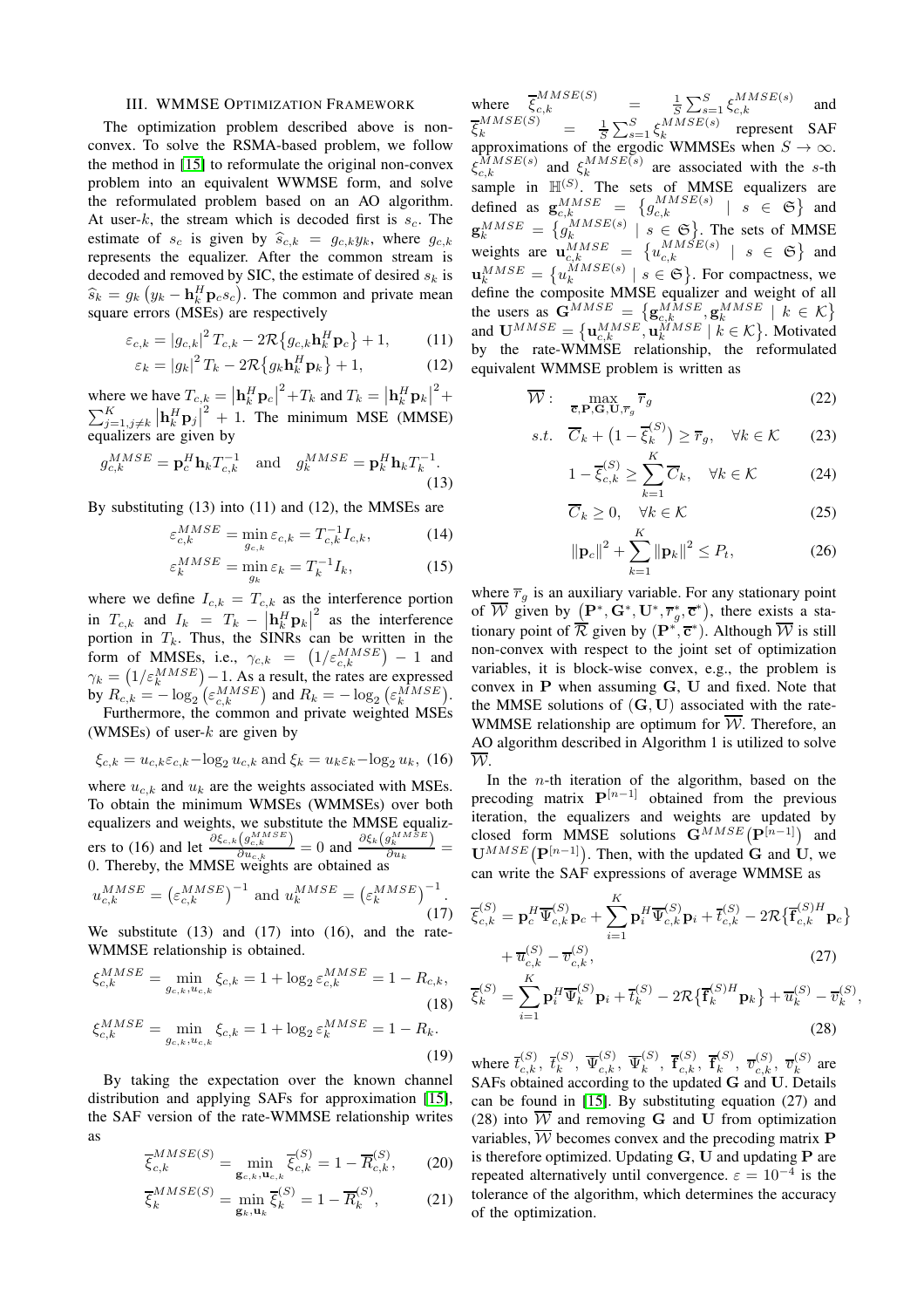## III. WMMSE OPTIMIZATION FRAMEWORK

The optimization problem described above is nonconvex. To solve the RSMA-based problem, we follow the method in [\[15\]](#page-5-14) to reformulate the original non-convex problem into an equivalent WWMSE form, and solve the reformulated problem based on an AO algorithm. At user-k, the stream which is decoded first is  $s_c$ . The estimate of  $s_c$  is given by  $\hat{s}_{c,k} = g_{c,k}y_k$ , where  $g_{c,k}$ represents the equalizer. After the common stream is decoded and removed by SIC, the estimate of desired  $s_k$  is  $\widehat{s}_k = g_k \left( y_k - \mathbf{h}_k^H \mathbf{p}_c s_c \right)$ . The common and private mean square errors (MSEs) are respectively

$$
\varepsilon_{c,k} = |g_{c,k}|^2 T_{c,k} - 2\mathcal{R}\{g_{c,k}\mathbf{h}_k^H \mathbf{p}_c\} + 1,\qquad(11)
$$

$$
\varepsilon_k = |g_k|^2 T_k - 2\mathcal{R}\left\{g_k \mathbf{h}_k^H \mathbf{p}_k\right\} + 1,\tag{12}
$$

where we have  $T_{c,k} = \left|\mathbf{h}_k^H \mathbf{p}_c\right|^2 + T_k$  and  $T_k = \left|\mathbf{h}_k^H \mathbf{p}_k\right|^2 + T_k$  $\sum_{j=1,j\neq k}^{K} |\mathbf{h}_k^H \mathbf{p}_j|^2 + 1$ . The minimum MSE (MMSE) equalizers are given by

$$
g_{c,k}^{MMSE} = \mathbf{p}_c^H \mathbf{h}_k T_{c,k}^{-1} \quad \text{and} \quad g_k^{MMSE} = \mathbf{p}_k^H \mathbf{h}_k T_k^{-1}.
$$
\n(13)

By substituting (13) into (11) and (12), the MMSEs are

$$
\varepsilon_{c,k}^{MMSE} = \min_{g_{c,k}} \varepsilon_{c,k} = T_{c,k}^{-1} I_{c,k},\tag{14}
$$

$$
\varepsilon_k^{MMSE} = \min_{g_k} \varepsilon_k = T_k^{-1} I_k,\tag{15}
$$

where we define  $I_{c,k} = T_{c,k}$  as the interference portion in  $T_{c,k}$  and  $I_k = T_k - |\mathbf{h}_k^H \mathbf{p}_k|^2$  as the interference portion in  $T_k$ . Thus, the SINRs can be written in the form of MMSEs, i.e.,  $\gamma_{c,k} = (1/\varepsilon_{c,k}^{MMSE}) - 1$  and  $\gamma_k = (1/\varepsilon_k^{MMSE}) - 1$ . As a result, the rates are expressed by  $R_{c,k} = -\log_2(\varepsilon_{c,k}^{MMSE})$  and  $R_k = -\log_2(\varepsilon_k^{MMSE})$ . Furthermore, the common and private weighted MSEs

(WMSEs) of user- $k$  are given by

$$
\xi_{c,k} = u_{c,k} \varepsilon_{c,k} - \log_2 u_{c,k}
$$
 and  $\xi_k = u_k \varepsilon_k - \log_2 u_k$ , (16)

where  $u_{c,k}$  and  $u_k$  are the weights associated with MSEs. To obtain the minimum WMSEs (WMMSEs) over both equalizers and weights, we substitute the MMSE equalizers to (16) and let  $\frac{\partial \xi_{c,k}(g_{c,k}^{MMSE})}{\partial u_{c,k}}$  $\frac{\left(g_{c,k}^{MMSE}\right)}{\partial u_{c,k}}=0$  and  $\frac{\partial \xi_k\left(g_{k}^{MMSE}\right)}{\partial u_k}$  $\frac{\partial u_k}{\partial u_k} =$ 0. Thereby, the MMSE weights are obtained as

$$
u_{c,k}^{MMSE} = \left(\varepsilon_{c,k}^{MMSE}\right)^{-1} \text{ and } u_k^{MMSE} = \left(\varepsilon_k^{MMSE}\right)^{-1}.\tag{17}
$$

We substitute (13) and (17) into (16), and the rate-WMMSE relationship is obtained.

$$
\xi_{c,k}^{MMSE} = \min_{g_{c,k}, u_{c,k}} \xi_{c,k} = 1 + \log_2 \varepsilon_{c,k}^{MMSE} = 1 - R_{c,k},
$$
\n(18)

$$
\xi_{c,k}^{MMSE} = \min_{g_{c,k}, u_{c,k}} \xi_{c,k} = 1 + \log_2 \varepsilon_k^{MMSE} = 1 - R_k.
$$
\n(19)

By taking the expectation over the known channel distribution and applying SAFs for approximation [\[15\]](#page-5-14), the SAF version of the rate-WMMSE relationship writes as

$$
\overline{\xi}_{c,k}^{MMSE(S)} = \min_{\mathbf{g}_{c,k},\mathbf{u}_{c,k}} \overline{\xi}_{c,k}^{(S)} = 1 - \overline{R}_{c,k}^{(S)},\qquad(20)
$$

$$
\overline{\xi}_k^{MMSE(S)} = \min_{\mathbf{g}_k, \mathbf{u}_k} \overline{\xi}_k^{(S)} = 1 - \overline{R}_k^{(S)},\tag{21}
$$

where  $\overline{\xi}_{c,k}^{MMSE(S)}$  =  $\frac{1}{S} \sum_{s=1}^{S} \xi_{c,k}^{MMSE(s)}$  and  $\overline{\xi}_k^{MMSE(S)}$  =  $\frac{1}{S}\sum_{s=1}^S \xi_k^{MMSE(s)}$  $k$  represent SAF approximations of the ergodic WMMSEs when  $S \to \infty$ .  $\xi_{c,k}^{\overline{M}MSE(s)}$  and  $\xi_k^{MMSE(s)}$  $k$ <sup>MMMSE(s)</sup> are associated with the s-th sample in  $\mathbb{H}^{(S)}$ . The sets of MMSE equalizers are defined as  $\mathbf{g}_{c,k}^{MMSE} = \{g_{c,k}^{MMSE(s)} \mid s \in \mathfrak{S}\}\)$  and  $\mathbf{g}_k^{MMSE} \, = \, \big\{ \overset{\cdot}{g}_k^{MMSE(s)} \,$  $\binom{MMSE(s)}{k}$  |  $s \in \mathfrak{S}$ . The sets of MMSE weights are  $\mathbf{u}_{c,k}^{MMSE} = \{u_{c,k}^{MMSE(s)} | s \in \mathfrak{S}\}\$ and  $\mathbf{u}_k^{MMSE} = \left\{ u_k^{MMSE(s)} \right\}$  $\binom{MMSE(s)}{k}$  |  $s \in \mathfrak{S}$ . For compactness, we define the composite MMSE equalizer and weight of all the users as  $\mathbf{G}^{MMSE} = \{ \mathbf{g}_{c,k}^{MMSE}, \mathbf{g}_{k}^{MMSE} \mid k \in \mathcal{K} \}$ and  $\mathbf{U}^{MMSE} = \left\{ \mathbf{u}_{c,k}^{MMSE}, \mathbf{\overline{u}}_{k}^{MMSE} \mid k \in \mathcal{K} \right\}$ . Motivated by the rate-WMMSE relationship, the reformulated equivalent WMMSE problem is written as

$$
\overline{\mathcal{W}}: \quad \max_{\overline{\mathbf{c}}, \mathbf{P}, \mathbf{G}, \mathbf{U}, \overline{r}_g} \overline{r}_g \tag{22}
$$

s.t. 
$$
\overline{C}_k + (1 - \overline{\xi}_k^{(S)}) \ge \overline{r}_g, \quad \forall k \in \mathcal{K}
$$
 (23)

$$
1 - \overline{\xi}_{c,k}^{(S)} \ge \sum_{k=1} \overline{C}_k, \quad \forall k \in \mathcal{K} \tag{24}
$$

$$
\overline{C}_k \ge 0, \quad \forall k \in \mathcal{K} \tag{25}
$$

$$
\|\mathbf{p}_c\|^2 + \sum_{k=1}^K \|\mathbf{p}_k\|^2 \le P_t,
$$
 (26)

where  $\overline{r}_q$  is an auxiliary variable. For any stationary point of  $\overline{W}$  given by  $(P^*, \mathbf{G}^*, \mathbf{U}^*, \overline{r}_g^*, \overline{\mathbf{c}}^*)$ , there exists a stationary point of  $\overline{\mathcal{R}}$  given by  $(\mathbf{P}^*, \overline{\mathbf{c}}^*)$ . Although  $\overline{\mathcal{W}}$  is still non-convex with respect to the joint set of optimization variables, it is block-wise convex, e.g., the problem is convex in P when assuming G, U and fixed. Note that the MMSE solutions of  $(G, U)$  associated with the rate-WMMSE relationship are optimum for  $\overline{W}$ . Therefore, an AO algorithm described in Algorithm 1 is utilized to solve  $\overline{\mathcal{W}}$ .

In the *n*-th iteration of the algorithm, based on the precoding matrix  $\mathbf{P}^{[n-1]}$  obtained from the previous iteration, the equalizers and weights are updated by closed form MMSE solutions  $\mathbf{G}^{MMSE}(\mathbf{P}^{[n-1]})$  and  $\mathbf{U}^{MMSE}(\mathbf{P}^{[n-1]})$ . Then, with the updated  $\mathbf{G}$  and  $\mathbf{U}$ , we can write the SAF expressions of average WMMSE as

$$
\overline{\xi}_{c,k}^{(S)} = \mathbf{p}_c^H \overline{\Psi}_{c,k}^{(S)} \mathbf{p}_c + \sum_{i=1}^K \mathbf{p}_i^H \overline{\Psi}_{c,k}^{(S)} \mathbf{p}_i + \overline{t}_{c,k}^{(S)} - 2\mathcal{R} \{ \overline{\mathbf{f}}_{c,k}^{(S)H} \mathbf{p}_c \} + \overline{u}_{c,k}^{(S)} - \overline{v}_{c,k}^{(S)},
$$
\n(27)

$$
\overline{\xi}_{k}^{(S)} = \sum_{i=1}^{K} \mathbf{p}_{i}^{H} \overline{\Psi}_{k}^{(S)} \mathbf{p}_{i} + \overline{t}_{k}^{(S)} - 2\mathcal{R} \{ \overline{\mathbf{f}}_{k}^{(S)H} \mathbf{p}_{k} \} + \overline{u}_{k}^{(S)} - \overline{v}_{k}^{(S)},
$$
\n(28)

where  $\bar{t}_{c,k}^{(S)}$ ,  $\bar{t}_k^{(S)}$  $_{k}^{ \left( S \right)},\,\,\overline{\Psi}_{c,k}^{\left( S \right)},\,\,\overline{\Psi}_{k}^{\left( S \right)}$  $\overline{\mathbf{f}}^{ \left( S \right)}_{k} , \; \overline{\mathbf{f}}^{ \left( S \right)}_{c,k}, \; \overline{\mathbf{f}}^{ \left( S \right)}_{k}$  $\overline{v}_{c,k}^{ \left( S \right)},~\overline{v}_{c,k}^{ \left( S \right)},~\overline{v}_{k}^{ \left( S \right)}$  $k^{(3)}$  are SAFs obtained according to the updated G and U. Details can be found in [\[15\]](#page-5-14). By substituting equation (27) and (28) into  $\overline{W}$  and removing G and U from optimization variables,  $\overline{\mathcal{W}}$  becomes convex and the precoding matrix **P** is therefore optimized. Updating G, U and updating P are repeated alternatively until convergence.  $\varepsilon = 10^{-4}$  is the tolerance of the algorithm, which determines the accuracy of the optimization.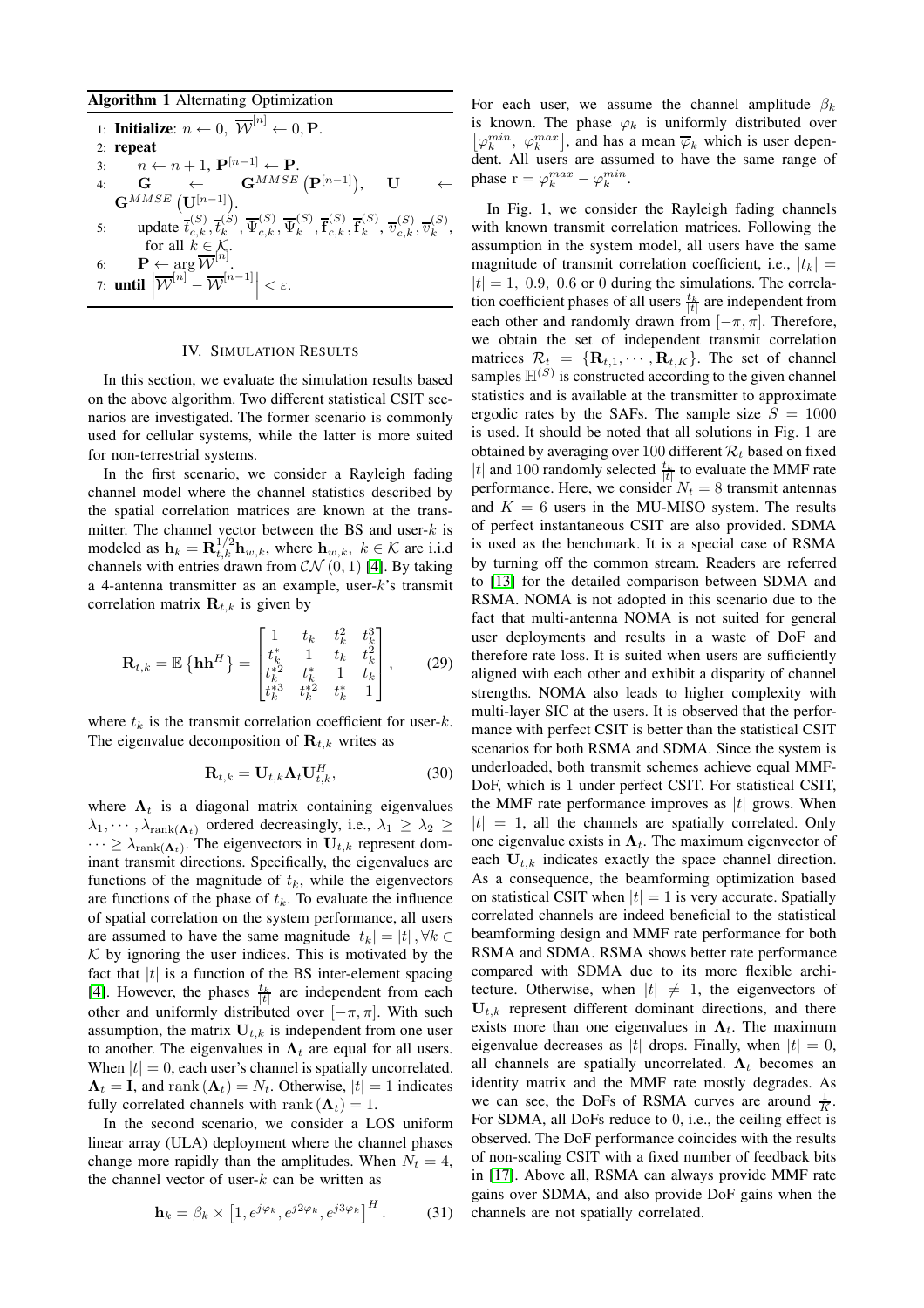## Algorithm 1 Alternating Optimization

1: **Initialize:** 
$$
n \leftarrow 0
$$
,  $\overline{\mathcal{W}}^{[n]} \leftarrow 0$ , **P**.  
\n2: **repeat**  
\n3:  $n \leftarrow n+1$ ,  $\mathbf{P}^{[n-1]} \leftarrow \mathbf{P}$ .  
\n4:  $\mathbf{G} \leftarrow \mathbf{G}^{MMSE} (\mathbf{P}^{[n-1]}), \mathbf{U} \leftarrow$   
\n $\mathbf{G}^{MMSE} (\mathbf{U}^{[n-1]}).$   
\n5: **update**  $\overline{t}_{c,k}^{(S)}, \overline{t}_{k}^{(S)}, \overline{\Psi}_{c,k}^{(S)}, \overline{\Psi}_{k}^{(S)}, \overline{\mathbf{f}}_{c,k}^{(S)}, \overline{\mathbf{r}}_{c,k}^{(S)}, \overline{\mathbf{v}}_{c,k}^{(S)}, \overline{\mathbf{v}}_{c,k}^{(S)},$   
\nfor all  $k \in \mathcal{K}$ .  
\n6:  $\mathbf{P} \leftarrow \arg \overline{\mathcal{W}}^{[n]}.$   
\n7: **until**  $\left| \overline{\mathcal{W}}^{[n]} - \overline{\mathcal{W}}^{[n-1]} \right| < \varepsilon$ .

,

#### IV. SIMULATION RESULTS

In this section, we evaluate the simulation results based on the above algorithm. Two different statistical CSIT scenarios are investigated. The former scenario is commonly used for cellular systems, while the latter is more suited for non-terrestrial systems.

In the first scenario, we consider a Rayleigh fading channel model where the channel statistics described by the spatial correlation matrices are known at the transmitter. The channel vector between the BS and user- $k$  is modeled as  $\mathbf{h}_k = \mathbf{R}_{t,k}^{1/2} \mathbf{h}_{w,k}$ , where  $\mathbf{h}_{w,k}$ ,  $k \in \mathcal{K}$  are i.i.d channels with entries drawn from  $\mathcal{CN}(0,1)$  [\[4\]](#page-5-3). By taking a 4-antenna transmitter as an example, user-k's transmit correlation matrix  $\mathbf{R}_{t,k}$  is given by

$$
\mathbf{R}_{t,k} = \mathbb{E}\left\{\mathbf{h}\mathbf{h}^H\right\} = \begin{bmatrix} 1 & t_k & t_k^2 & t_k^3\\ t_k^* & 1 & t_k & t_k^2\\ t_k^{*2} & t_k^* & 1 & t_k\\ t_k^{*3} & t_k^{*2} & t_k^* & 1 \end{bmatrix},\qquad(29)
$$

where  $t_k$  is the transmit correlation coefficient for user- $k$ . The eigenvalue decomposition of  $\mathbf{R}_{t,k}$  writes as

$$
\mathbf{R}_{t,k} = \mathbf{U}_{t,k} \mathbf{\Lambda}_t \mathbf{U}_{t,k}^H, \tag{30}
$$

where  $\Lambda_t$  is a diagonal matrix containing eigenvalues  $\lambda_1, \dots, \lambda_{\text{rank}(\Lambda_t)}$  ordered decreasingly, i.e.,  $\lambda_1 \geq \lambda_2 \geq$  $\cdots \geq \lambda_{\text{rank}(\mathbf{\Lambda}_t)}$ . The eigenvectors in  $\mathbf{U}_{t,k}$  represent dominant transmit directions. Specifically, the eigenvalues are functions of the magnitude of  $t_k$ , while the eigenvectors are functions of the phase of  $t_k$ . To evaluate the influence of spatial correlation on the system performance, all users are assumed to have the same magnitude  $|t_k| = |t|, \forall k \in$  $K$  by ignoring the user indices. This is motivated by the fact that  $|t|$  is a function of the BS inter-element spacing [\[4\]](#page-5-3). However, the phases  $\frac{t_k}{|t|}$  are independent from each other and uniformly distributed over  $[-\pi, \pi]$ . With such assumption, the matrix  $U_{t,k}$  is independent from one user to another. The eigenvalues in  $\Lambda_t$  are equal for all users. When  $|t| = 0$ , each user's channel is spatially uncorrelated.  $\Lambda_t = I$ , and rank  $(\Lambda_t) = N_t$ . Otherwise,  $|t| = 1$  indicates fully correlated channels with rank  $(\Lambda_t) = 1$ .

In the second scenario, we consider a LOS uniform linear array (ULA) deployment where the channel phases change more rapidly than the amplitudes. When  $N_t = 4$ , the channel vector of user- $k$  can be written as

$$
\mathbf{h}_{k} = \beta_{k} \times \left[1, e^{j\varphi_{k}}, e^{j2\varphi_{k}}, e^{j3\varphi_{k}}\right]^{H}.
$$
 (31)

For each user, we assume the channel amplitude  $\beta_k$ is known. The phase  $\varphi_k$  is uniformly distributed over  $\left[\varphi_k^{min}, \varphi_k^{max}\right]$ , and has a mean  $\overline{\varphi}_k$  which is user dependent. All users are assumed to have the same range of phase  $r = \varphi_k^{max} - \varphi_k^{min}$ .

In Fig. 1, we consider the Rayleigh fading channels with known transmit correlation matrices. Following the assumption in the system model, all users have the same magnitude of transmit correlation coefficient, i.e.,  $|t_k|$  =  $|t| = 1$ , 0.9, 0.6 or 0 during the simulations. The correlation coefficient phases of all users  $\frac{t_k}{|t|}$  are independent from each other and randomly drawn from  $[-\pi, \pi]$ . Therefore, we obtain the set of independent transmit correlation matrices  $\mathcal{R}_t = \{\mathbf{R}_{t,1}, \cdots, \mathbf{R}_{t,K}\}\$ . The set of channel samples  $\mathbb{H}^{(S)}$  is constructed according to the given channel statistics and is available at the transmitter to approximate ergodic rates by the SAFs. The sample size  $S = 1000$ is used. It should be noted that all solutions in Fig. 1 are obtained by averaging over 100 different  $\mathcal{R}_t$  based on fixed |t| and 100 randomly selected  $\frac{t_k}{|t|}$  to evaluate the MMF rate performance. Here, we consider  $N_t = 8$  transmit antennas and  $K = 6$  users in the MU-MISO system. The results of perfect instantaneous CSIT are also provided. SDMA is used as the benchmark. It is a special case of RSMA by turning off the common stream. Readers are referred to [\[13\]](#page-5-13) for the detailed comparison between SDMA and RSMA. NOMA is not adopted in this scenario due to the fact that multi-antenna NOMA is not suited for general user deployments and results in a waste of DoF and therefore rate loss. It is suited when users are sufficiently aligned with each other and exhibit a disparity of channel strengths. NOMA also leads to higher complexity with multi-layer SIC at the users. It is observed that the performance with perfect CSIT is better than the statistical CSIT scenarios for both RSMA and SDMA. Since the system is underloaded, both transmit schemes achieve equal MMF-DoF, which is 1 under perfect CSIT. For statistical CSIT, the MMF rate performance improves as  $|t|$  grows. When  $|t| = 1$ , all the channels are spatially correlated. Only one eigenvalue exists in  $\Lambda_t$ . The maximum eigenvector of each  $U_{t,k}$  indicates exactly the space channel direction. As a consequence, the beamforming optimization based on statistical CSIT when  $|t| = 1$  is very accurate. Spatially correlated channels are indeed beneficial to the statistical beamforming design and MMF rate performance for both RSMA and SDMA. RSMA shows better rate performance compared with SDMA due to its more flexible architecture. Otherwise, when  $|t| \neq 1$ , the eigenvectors of  $U_{t,k}$  represent different dominant directions, and there exists more than one eigenvalues in  $\Lambda_t$ . The maximum eigenvalue decreases as |t| drops. Finally, when  $|t| = 0$ , all channels are spatially uncorrelated.  $\Lambda_t$  becomes an identity matrix and the MMF rate mostly degrades. As we can see, the DoFs of RSMA curves are around  $\frac{1}{K}$ . For SDMA, all DoFs reduce to 0, i.e., the ceiling effect is observed. The DoF performance coincides with the results of non-scaling CSIT with a fixed number of feedback bits in [\[17\]](#page-5-15). Above all, RSMA can always provide MMF rate gains over SDMA, and also provide DoF gains when the channels are not spatially correlated.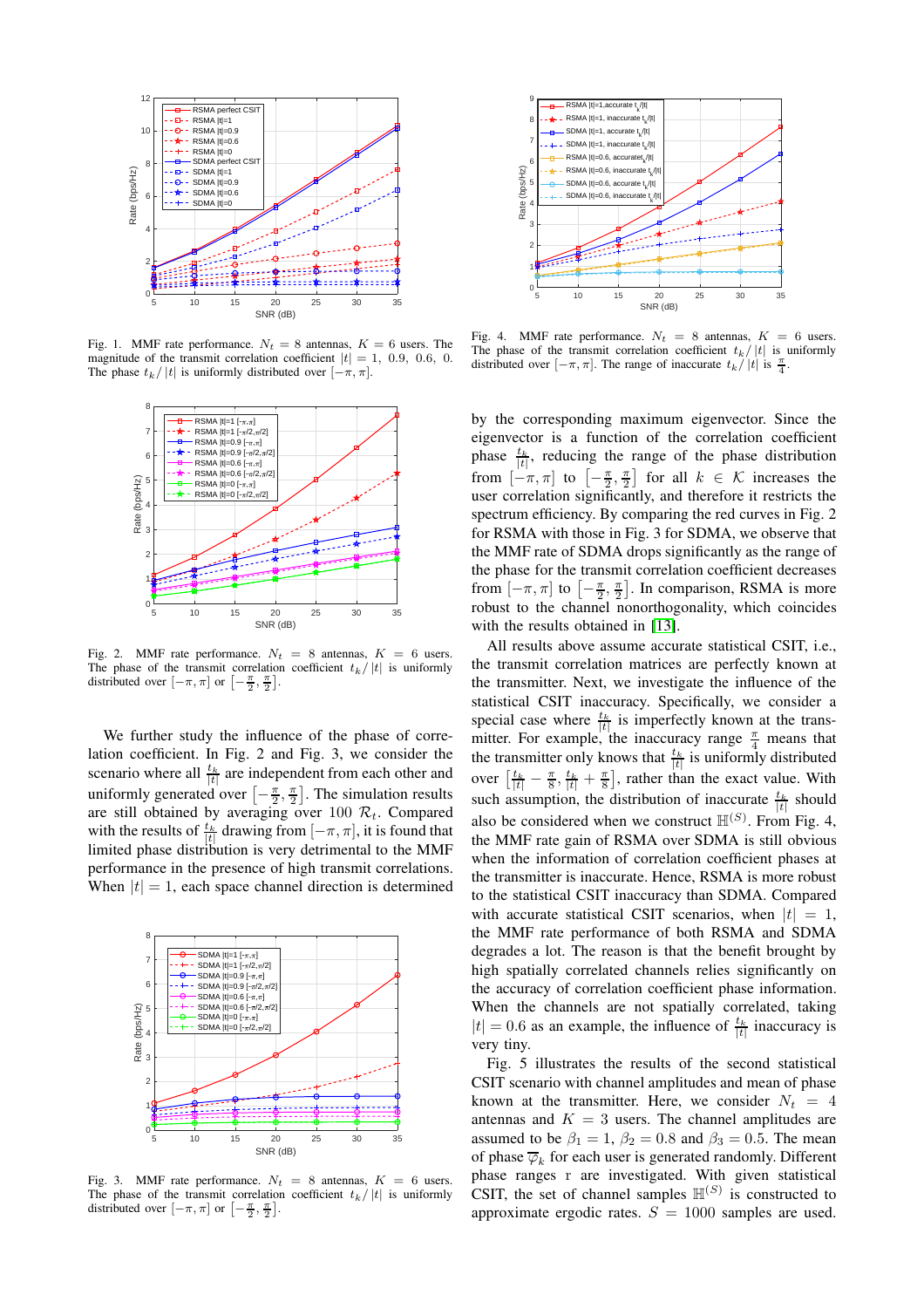

Fig. 1. MMF rate performance.  $N_t = 8$  antennas,  $K = 6$  users. The magnitude of the transmit correlation coefficient  $|t| = 1$ , 0.9, 0.6, 0. The phase  $t_k/|t|$  is uniformly distributed over  $[-\pi, \pi]$ .



Fig. 2. MMF rate performance.  $N_t = 8$  antennas,  $K = 6$  users. The phase of the transmit correlation coefficient  $t_k/|t|$  is uniformly distributed over  $[-\pi, \pi]$  or  $[-\frac{\pi}{2}, \frac{\pi}{2}]$ .

We further study the influence of the phase of correlation coefficient. In Fig. 2 and Fig. 3, we consider the scenario where all  $\frac{t_k}{|t|}$  are independent from each other and uniformly generated over  $\left[-\frac{\pi}{2},\frac{\pi}{2}\right]$ . The simulation results are still obtained by averaging over 100  $\mathcal{R}_t$ . Compared with the results of  $\frac{t_k}{|t|}$  drawing from  $[-\pi, \pi]$ , it is found that limited phase distribution is very detrimental to the MMF performance in the presence of high transmit correlations. When  $|t| = 1$ , each space channel direction is determined



Fig. 3. MMF rate performance.  $N_t = 8$  antennas,  $K = 6$  users. The phase of the transmit correlation coefficient  $t_k/|t|$  is uniformly distributed over  $[-\pi, \pi]$  or  $[-\frac{\pi}{2}, \frac{\pi}{2}]$ .



Fig. 4. MMF rate performance.  $N_t = 8$  antennas,  $K = 6$  users. The phase of the transmit correlation coefficient  $t_k/|t|$  is uniformly distributed over  $[-\pi, \pi]$ . The range of inaccurate  $t_k/|t|$  is  $\frac{\pi}{4}$ .

by the corresponding maximum eigenvector. Since the eigenvector is a function of the correlation coefficient phase  $\frac{t_k}{|t|}$ , reducing the range of the phase distribution from  $\left[-\pi, \pi\right]$  to  $\left[-\frac{\pi}{2}, \frac{\pi}{2}\right]$  for all  $k \in \mathcal{K}$  increases the user correlation significantly, and therefore it restricts the spectrum efficiency. By comparing the red curves in Fig. 2 for RSMA with those in Fig. 3 for SDMA, we observe that the MMF rate of SDMA drops significantly as the range of the phase for the transmit correlation coefficient decreases from  $[-\pi, \pi]$  to  $\left[-\frac{\pi}{2}, \frac{\pi}{2}\right]$ . In comparison, RSMA is more robust to the channel nonorthogonality, which coincides with the results obtained in [\[13\]](#page-5-13).

All results above assume accurate statistical CSIT, i.e., the transmit correlation matrices are perfectly known at the transmitter. Next, we investigate the influence of the statistical CSIT inaccuracy. Specifically, we consider a special case where  $\frac{t_k}{|t|}$  is imperfectly known at the transmitter. For example, the inaccuracy range  $\frac{\pi}{4}$  means that the transmitter only knows that  $\frac{t_k}{|t|}$  is uniformly distributed over  $\left[\frac{t_k}{|t|} - \frac{\pi}{8}, \frac{t_k}{|t|} + \frac{\pi}{8}\right]$ , rather than the exact value. With such assumption, the distribution of inaccurate  $\frac{t_k}{|t|}$  should also be considered when we construct  $\mathbb{H}^{(S)}$ . From Fig. 4, the MMF rate gain of RSMA over SDMA is still obvious when the information of correlation coefficient phases at the transmitter is inaccurate. Hence, RSMA is more robust to the statistical CSIT inaccuracy than SDMA. Compared with accurate statistical CSIT scenarios, when  $|t| = 1$ , the MMF rate performance of both RSMA and SDMA degrades a lot. The reason is that the benefit brought by high spatially correlated channels relies significantly on the accuracy of correlation coefficient phase information. When the channels are not spatially correlated, taking  $|t| = 0.6$  as an example, the influence of  $\frac{t_k}{|t|}$  inaccuracy is very tiny.

Fig. 5 illustrates the results of the second statistical CSIT scenario with channel amplitudes and mean of phase known at the transmitter. Here, we consider  $N_t = 4$ antennas and  $K = 3$  users. The channel amplitudes are assumed to be  $\beta_1 = 1$ ,  $\beta_2 = 0.8$  and  $\beta_3 = 0.5$ . The mean of phase  $\overline{\varphi}_k$  for each user is generated randomly. Different phase ranges r are investigated. With given statistical CSIT, the set of channel samples  $\mathbb{H}^{(S)}$  is constructed to approximate ergodic rates.  $S = 1000$  samples are used.